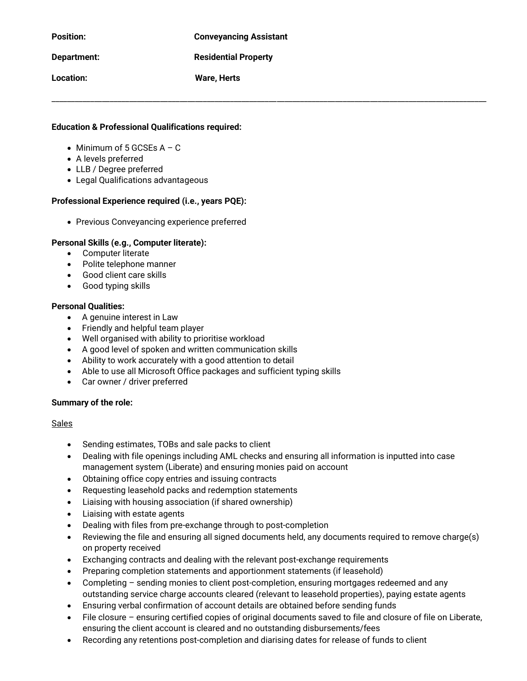| <b>Position:</b>   | <b>Conveyancing Assistant</b> |
|--------------------|-------------------------------|
| <b>Department:</b> | <b>Residential Property</b>   |
| Location:          | <b>Ware, Herts</b>            |

## **Education & Professional Qualifications required:**

- Minimum of 5 GCSEs  $A C$
- A levels preferred
- LLB / Degree preferred
- Legal Qualifications advantageous

### **Professional Experience required (i.e., years PQE):**

• Previous Conveyancing experience preferred

#### **Personal Skills (e.g., Computer literate):**

- Computer literate
- Polite telephone manner
- Good client care skills
- Good typing skills

#### **Personal Qualities:**

- A genuine interest in Law
- Friendly and helpful team player
- Well organised with ability to prioritise workload
- A good level of spoken and written communication skills
- Ability to work accurately with a good attention to detail
- Able to use all Microsoft Office packages and sufficient typing skills
- Car owner / driver preferred

#### **Summary of the role:**

### Sales

- Sending estimates, TOBs and sale packs to client
- Dealing with file openings including AML checks and ensuring all information is inputted into case management system (Liberate) and ensuring monies paid on account
- Obtaining office copy entries and issuing contracts
- Requesting leasehold packs and redemption statements
- Liaising with housing association (if shared ownership)
- Liaising with estate agents
- Dealing with files from pre-exchange through to post-completion
- Reviewing the file and ensuring all signed documents held, any documents required to remove charge(s) on property received
- Exchanging contracts and dealing with the relevant post-exchange requirements
- Preparing completion statements and apportionment statements (if leasehold)
- Completing sending monies to client post-completion, ensuring mortgages redeemed and any outstanding service charge accounts cleared (relevant to leasehold properties), paying estate agents
- Ensuring verbal confirmation of account details are obtained before sending funds
- File closure ensuring certified copies of original documents saved to file and closure of file on Liberate, ensuring the client account is cleared and no outstanding disbursements/fees
- Recording any retentions post-completion and diarising dates for release of funds to client